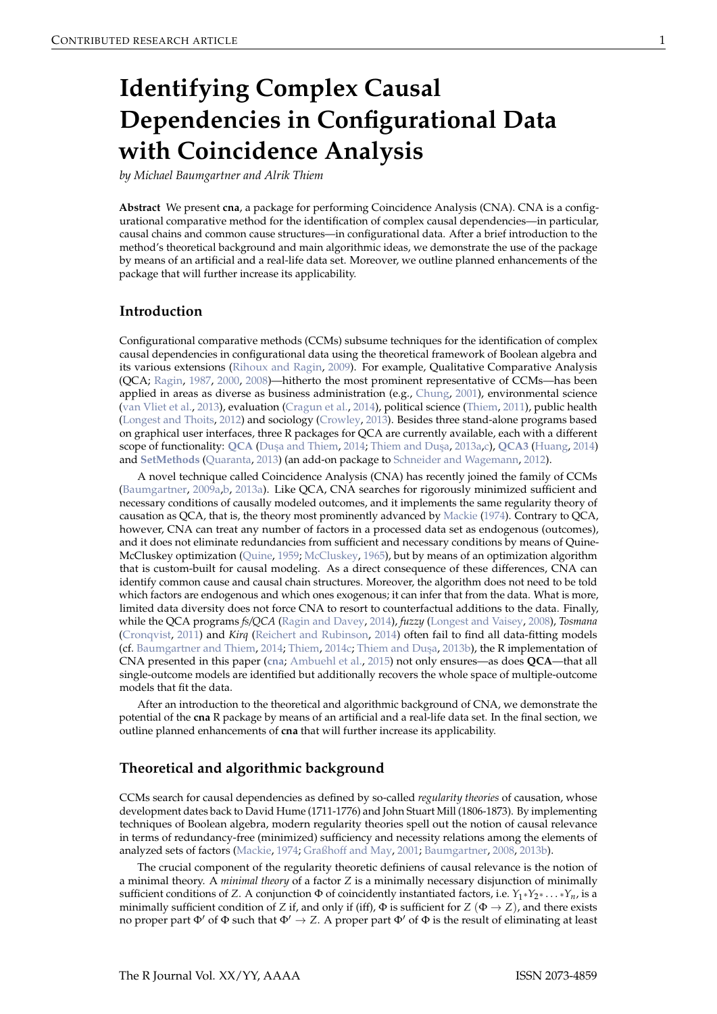# <span id="page-0-0"></span>**Identifying Complex Causal Dependencies in Configurational Data with Coincidence Analysis**

*by Michael Baumgartner and Alrik Thiem*

**Abstract** We present **cna**, a package for performing Coincidence Analysis (CNA). CNA is a configurational comparative method for the identification of complex causal dependencies—in particular, causal chains and common cause structures—in configurational data. After a brief introduction to the method's theoretical background and main algorithmic ideas, we demonstrate the use of the package by means of an artificial and a real-life data set. Moreover, we outline planned enhancements of the package that will further increase its applicability.

# **Introduction**

Configurational comparative methods (CCMs) subsume techniques for the identification of complex causal dependencies in configurational data using the theoretical framework of Boolean algebra and its various extensions [\(Rihoux and Ragin,](#page-7-0) [2009\)](#page-7-0). For example, Qualitative Comparative Analysis (QCA; [Ragin,](#page-7-1) [1987,](#page-7-1) [2000,](#page-7-2) [2008\)](#page-7-3)—hitherto the most prominent representative of CCMs—has been applied in areas as diverse as business administration (e.g., [Chung,](#page-6-0) [2001\)](#page-6-0), environmental science [\(van Vliet et al.,](#page-8-0) [2013\)](#page-8-0), evaluation [\(Cragun et al.,](#page-6-1) [2014\)](#page-6-1), political science [\(Thiem,](#page-7-4) [2011\)](#page-7-4), public health [\(Longest and Thoits,](#page-7-5) [2012\)](#page-7-5) and sociology [\(Crowley,](#page-6-2) [2013\)](#page-6-2). Besides three stand-alone programs based on graphical user interfaces, three R packages for QCA are currently available, each with a different scope of functionality: [QCA](http://CRAN.R-project.org/package=QCA) (Duşa and Thiem, [2014;](#page-6-3) Thiem and Duşa, [2013a](#page-7-6)[,c\)](#page-8-1), [QCA3](http://CRAN.R-project.org/package=QCA3) [\(Huang,](#page-7-7) [2014\)](#page-7-7) and **[SetMethods](http://CRAN.R-project.org/package=SetMethods)** [\(Quaranta,](#page-7-8) [2013\)](#page-7-8) (an add-on package to [Schneider and Wagemann,](#page-7-9) [2012\)](#page-7-9).

A novel technique called Coincidence Analysis (CNA) has recently joined the family of CCMs [\(Baumgartner,](#page-6-4) [2009a](#page-6-4)[,b,](#page-6-5) [2013a\)](#page-6-6). Like QCA, CNA searches for rigorously minimized sufficient and necessary conditions of causally modeled outcomes, and it implements the same regularity theory of causation as QCA, that is, the theory most prominently advanced by [Mackie](#page-7-10) [\(1974\)](#page-7-10). Contrary to QCA, however, CNA can treat any number of factors in a processed data set as endogenous (outcomes), and it does not eliminate redundancies from sufficient and necessary conditions by means of Quine-McCluskey optimization [\(Quine,](#page-7-11) [1959;](#page-7-11) [McCluskey,](#page-7-12) [1965\)](#page-7-12), but by means of an optimization algorithm that is custom-built for causal modeling. As a direct consequence of these differences, CNA can identify common cause and causal chain structures. Moreover, the algorithm does not need to be told which factors are endogenous and which ones exogenous; it can infer that from the data. What is more, limited data diversity does not force CNA to resort to counterfactual additions to the data. Finally, while the QCA programs *fs/QCA* [\(Ragin and Davey,](#page-7-13) [2014\)](#page-7-13), *fuzzy* [\(Longest and Vaisey,](#page-7-14) [2008\)](#page-7-14), *Tosmana* [\(Cronqvist,](#page-6-7) [2011\)](#page-6-7) and *Kirq* [\(Reichert and Rubinson,](#page-7-15) [2014\)](#page-7-15) often fail to find all data-fitting models (cf. [Baumgartner and Thiem,](#page-6-8) [2014;](#page-6-8) [Thiem,](#page-7-16) [2014c;](#page-7-16) Thiem and Duşa, [2013b\)](#page-8-2), the R implementation of CNA presented in this paper (**[cna](http://CRAN.R-project.org/package=cna)**; [Ambuehl et al.,](#page-6-9) [2015\)](#page-6-9) not only ensures—as does **QCA**—that all single-outcome models are identified but additionally recovers the whole space of multiple-outcome models that fit the data.

After an introduction to the theoretical and algorithmic background of CNA, we demonstrate the potential of the **cna** R package by means of an artificial and a real-life data set. In the final section, we outline planned enhancements of **cna** that will further increase its applicability.

## **Theoretical and algorithmic background**

CCMs search for causal dependencies as defined by so-called *regularity theories* of causation, whose development dates back to David Hume (1711-1776) and John Stuart Mill (1806-1873). By implementing techniques of Boolean algebra, modern regularity theories spell out the notion of causal relevance in terms of redundancy-free (minimized) sufficiency and necessity relations among the elements of analyzed sets of factors [\(Mackie,](#page-7-10) [1974;](#page-7-10) [Graßhoff and May,](#page-7-17) [2001;](#page-7-17) [Baumgartner,](#page-6-10) [2008,](#page-6-10) [2013b\)](#page-6-11).

The crucial component of the regularity theoretic definiens of causal relevance is the notion of a minimal theory. A *minimal theory* of a factor *Z* is a minimally necessary disjunction of minimally sufficient conditions of *Z*. A conjunction Φ of coincidently instantiated factors, i.e. *Y*1∗*Y*2<sup>∗</sup> . . . <sup>∗</sup>*Yn*, is a minimally sufficient condition of *Z* if, and only if (iff),  $\Phi$  is sufficient for *Z* ( $\Phi \rightarrow Z$ ), and there exists no proper part  $\Phi'$  of  $\Phi$  such that  $\Phi' \to Z$ . A proper part  $\Phi'$  of  $\Phi$  is the result of eliminating at least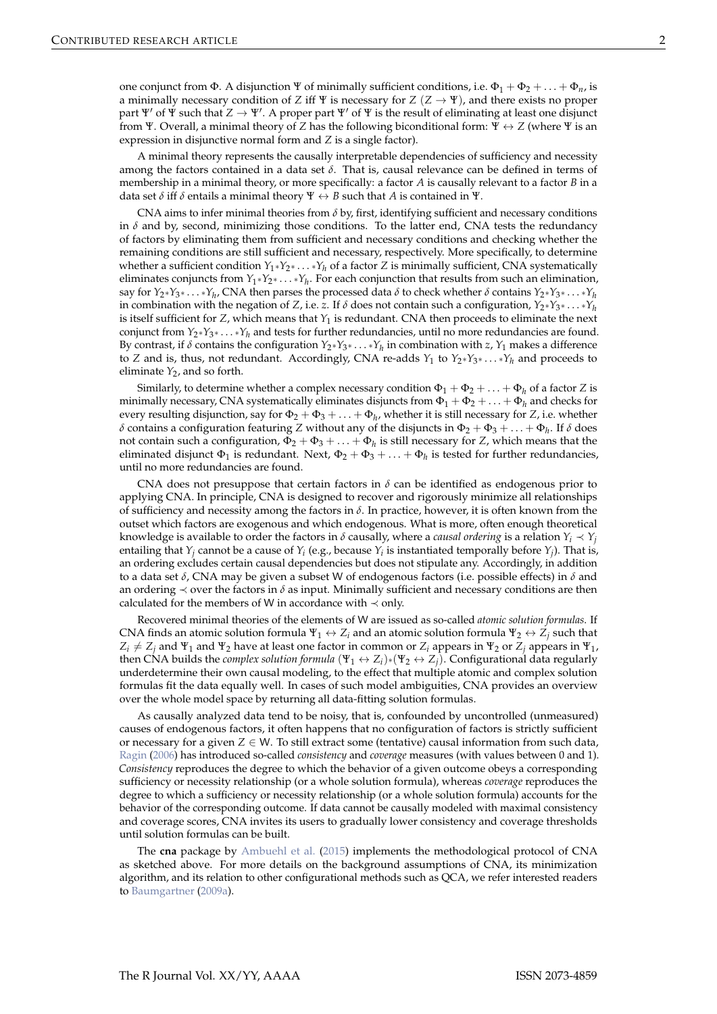<span id="page-1-0"></span>one conjunct from Φ. A disjunction Ψ of minimally sufficient conditions, i.e.  $\Phi_1 + \Phi_2 + ... + \Phi_n$ , is a minimally necessary condition of *Z* iff  $\Psi$  is necessary for  $Z(Z \to \Psi)$ , and there exists no proper part Ψ' of Ψ such that  $Z \to \Psi'$ . A proper part Ψ' of Ψ is the result of eliminating at least one disjunct from Ψ. Overall, a minimal theory of *Z* has the following biconditional form: Ψ ↔ *Z* (where Ψ is an expression in disjunctive normal form and *Z* is a single factor).

A minimal theory represents the causally interpretable dependencies of sufficiency and necessity among the factors contained in a data set *δ*. That is, causal relevance can be defined in terms of membership in a minimal theory, or more specifically: a factor *A* is causally relevant to a factor *B* in a data set  $\delta$  iff  $\delta$  entails a minimal theory  $\Psi \leftrightarrow B$  such that *A* is contained in  $\Psi$ .

CNA aims to infer minimal theories from *δ* by, first, identifying sufficient and necessary conditions in  $\delta$  and by, second, minimizing those conditions. To the latter end, CNA tests the redundancy of factors by eliminating them from sufficient and necessary conditions and checking whether the remaining conditions are still sufficient and necessary, respectively. More specifically, to determine whether a sufficient condition *Y*1∗*Y*2<sup>∗</sup> . . . <sup>∗</sup>*Y<sup>h</sup>* of a factor *Z* is minimally sufficient, CNA systematically eliminates conjuncts from *Y*1∗*Y*2<sup>∗</sup> . . . <sup>∗</sup>*Y<sup>h</sup>* . For each conjunction that results from such an elimination, say for  $Y_2*Y_3* \ldots *Y_h$ , CNA then parses the processed data  $\delta$  to check whether  $\delta$  contains  $Y_2*Y_3* \ldots *Y_h$ in combination with the negation of *Z*, i.e. *z*. If  $\delta$  does not contain such a configuration,  $Y_2*Y_3*\ldots*Y_h$ is itself sufficient for  $Z$ , which means that  $Y_1$  is redundant. CNA then proceeds to eliminate the next conjunct from *Y*2∗*Y*3<sup>∗</sup> . . . <sup>∗</sup>*Y<sup>h</sup>* and tests for further redundancies, until no more redundancies are found. By contrast, if  $\delta$  contains the configuration  $Y_2*Y_3*\ldots*Y_h$  in combination with  $z$ ,  $Y_1$  makes a difference to *Z* and is, thus, not redundant. Accordingly, CNA re-adds *Y*<sup>1</sup> to *Y*2∗*Y*3<sup>∗</sup> . . . <sup>∗</sup>*Y<sup>h</sup>* and proceeds to eliminate  $Y_2$ , and so forth.

Similarly, to determine whether a complex necessary condition  $\Phi_1 + \Phi_2 + \ldots + \Phi_h$  of a factor *Z* is minimally necessary, CNA systematically eliminates disjuncts from  $\Phi_1 + \Phi_2 + \ldots + \Phi_h$  and checks for every resulting disjunction, say for  $\Phi_2 + \Phi_3 + \ldots + \Phi_h$ , whether it is still necessary for *Z*, i.e. whether *δ* contains a configuration featuring *Z* without any of the disjuncts in  $\Phi_2 + \Phi_3 + \ldots + \Phi_h$ . If *δ* does not contain such a configuration,  $\Phi_2 + \Phi_3 + \ldots + \Phi_h$  is still necessary for *Z*, which means that the eliminated disjunct  $\Phi_1$  is redundant. Next,  $\Phi_2 + \Phi_3 + \ldots + \Phi_h$  is tested for further redundancies, until no more redundancies are found.

CNA does not presuppose that certain factors in  $\delta$  can be identified as endogenous prior to applying CNA. In principle, CNA is designed to recover and rigorously minimize all relationships of sufficiency and necessity among the factors in *δ*. In practice, however, it is often known from the outset which factors are exogenous and which endogenous. What is more, often enough theoretical knowledge is available to order the factors in  $\delta$  causally, where a *causal ordering* is a relation  $Y_i \prec Y_i$ entailing that  $Y_j$  cannot be a cause of  $Y_i$  (e.g., because  $Y_i$  is instantiated temporally before  $Y_j$ ). That is, an ordering excludes certain causal dependencies but does not stipulate any. Accordingly, in addition to a data set *δ*, CNA may be given a subset W of endogenous factors (i.e. possible effects) in *δ* and an ordering  $\prec$  over the factors in  $\delta$  as input. Minimally sufficient and necessary conditions are then calculated for the members of W in accordance with  $\prec$  only.

Recovered minimal theories of the elements of W are issued as so-called *atomic solution formulas*. If CNA finds an atomic solution formula  $\Psi_1 \leftrightarrow Z_i$  and an atomic solution formula  $\Psi_2 \leftrightarrow Z_i$  such that  $Z_i \neq Z_j$  and Ψ<sub>1</sub> and Ψ<sub>2</sub> have at least one factor in common or  $Z_i$  appears in Ψ<sub>2</sub> or  $Z_j$  appears in Ψ<sub>1</sub>, then CNA builds the *complex solution formula*  $(\Psi_1 \leftrightarrow Z_i) * (\Psi_2 \leftrightarrow Z_j)$ . Configurational data regularly underdetermine their own causal modeling, to the effect that multiple atomic and complex solution formulas fit the data equally well. In cases of such model ambiguities, CNA provides an overview over the whole model space by returning all data-fitting solution formulas.

As causally analyzed data tend to be noisy, that is, confounded by uncontrolled (unmeasured) causes of endogenous factors, it often happens that no configuration of factors is strictly sufficient or necessary for a given  $Z \in W$ . To still extract some (tentative) causal information from such data, [Ragin](#page-7-18) [\(2006\)](#page-7-18) has introduced so-called *consistency* and *coverage* measures (with values between 0 and 1). *Consistency* reproduces the degree to which the behavior of a given outcome obeys a corresponding sufficiency or necessity relationship (or a whole solution formula), whereas *coverage* reproduces the degree to which a sufficiency or necessity relationship (or a whole solution formula) accounts for the behavior of the corresponding outcome. If data cannot be causally modeled with maximal consistency and coverage scores, CNA invites its users to gradually lower consistency and coverage thresholds until solution formulas can be built.

The **cna** package by [Ambuehl et al.](#page-6-9) [\(2015\)](#page-6-9) implements the methodological protocol of CNA as sketched above. For more details on the background assumptions of CNA, its minimization algorithm, and its relation to other configurational methods such as QCA, we refer interested readers to [Baumgartner](#page-6-4) [\(2009a\)](#page-6-4).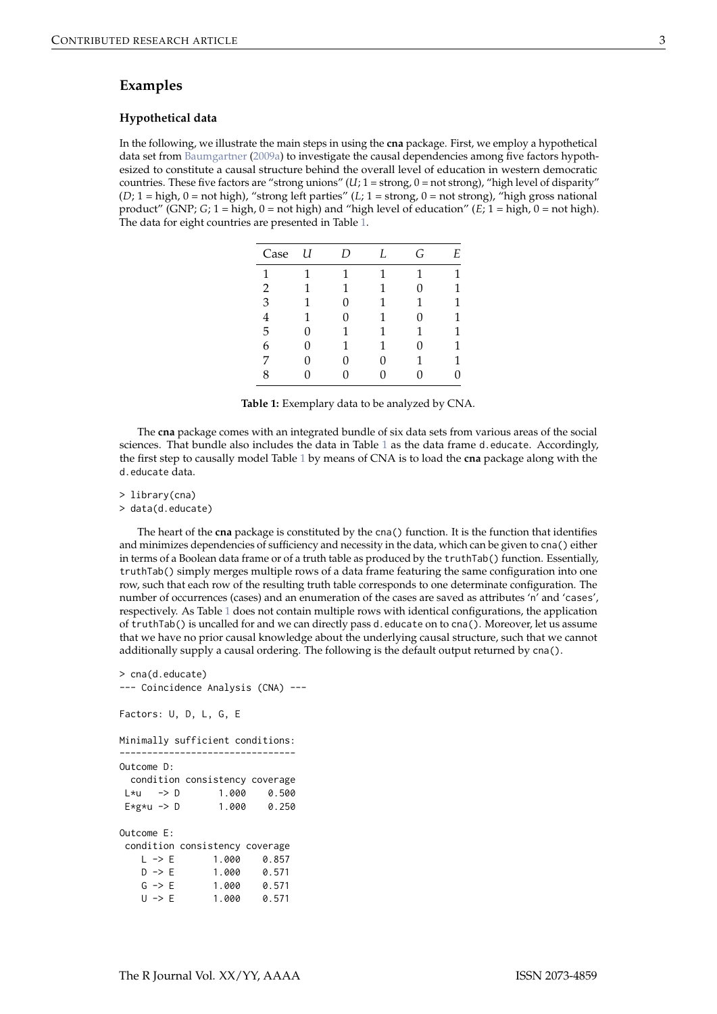## <span id="page-2-1"></span>**Examples**

#### **Hypothetical data**

<span id="page-2-0"></span>In the following, we illustrate the main steps in using the **cna** package. First, we employ a hypothetical data set from [Baumgartner](#page-6-4) [\(2009a\)](#page-6-4) to investigate the causal dependencies among five factors hypothesized to constitute a causal structure behind the overall level of education in western democratic countries. These five factors are "strong unions" (*U*; 1 = strong, 0 = not strong), "high level of disparity" (*D*; 1 = high, 0 = not high), "strong left parties" (*L*; 1 = strong, 0 = not strong), "high gross national product" (GNP; *G*; 1 = high, 0 = not high) and "high level of education" (*E*; 1 = high, 0 = not high). The data for eight countries are presented in Table [1.](#page-2-0)

| Case           | U | D | L | G | Е |
|----------------|---|---|---|---|---|
| 1              | 1 | 1 | 1 | 1 |   |
| $\overline{2}$ | 1 | 1 | 1 | 0 |   |
| 3              | 1 | 0 |   |   |   |
|                | 1 | 0 |   | 0 |   |
| 5              | 0 | 1 | 1 |   |   |
| 6              | 0 | 1 | 1 | 0 | 1 |
|                | 0 | 0 | 0 |   |   |
| 8              | N |   | 0 |   |   |

**Table 1:** Exemplary data to be analyzed by CNA.

The **cna** package comes with an integrated bundle of six data sets from various areas of the social sciences. That bundle also includes the data in Table [1](#page-2-0) as the data frame d.educate. Accordingly, the first step to causally model Table [1](#page-2-0) by means of CNA is to load the **cna** package along with the d.educate data.

> library(cna)

> data(d.educate)

The heart of the **cna** package is constituted by the cna() function. It is the function that identifies and minimizes dependencies of sufficiency and necessity in the data, which can be given to cna() either in terms of a Boolean data frame or of a truth table as produced by the truthTab() function. Essentially, truthTab() simply merges multiple rows of a data frame featuring the same configuration into one row, such that each row of the resulting truth table corresponds to one determinate configuration. The number of occurrences (cases) and an enumeration of the cases are saved as attributes 'n' and 'cases', respectively. As Table [1](#page-2-0) does not contain multiple rows with identical configurations, the application of truthTab() is uncalled for and we can directly pass d.educate on to cna(). Moreover, let us assume that we have no prior causal knowledge about the underlying causal structure, such that we cannot additionally supply a causal ordering. The following is the default output returned by cna().

```
> cna(d.educate)
--- Coincidence Analysis (CNA) ---
Factors: U, D, L, G, E
Minimally sufficient conditions:
--------------------------------
Outcome D:
 condition consistency coverage
L * u -> D 1.000 0.500
E*g*u \rightarrow D 1.000 0.250
Outcome E:
condition consistency coverage
   L \rightarrow E 1.000 0.857
   D \rightarrow E 1.000 0.571
   G -> E 1.000 0.571
   U -> E 1.000 0.571
```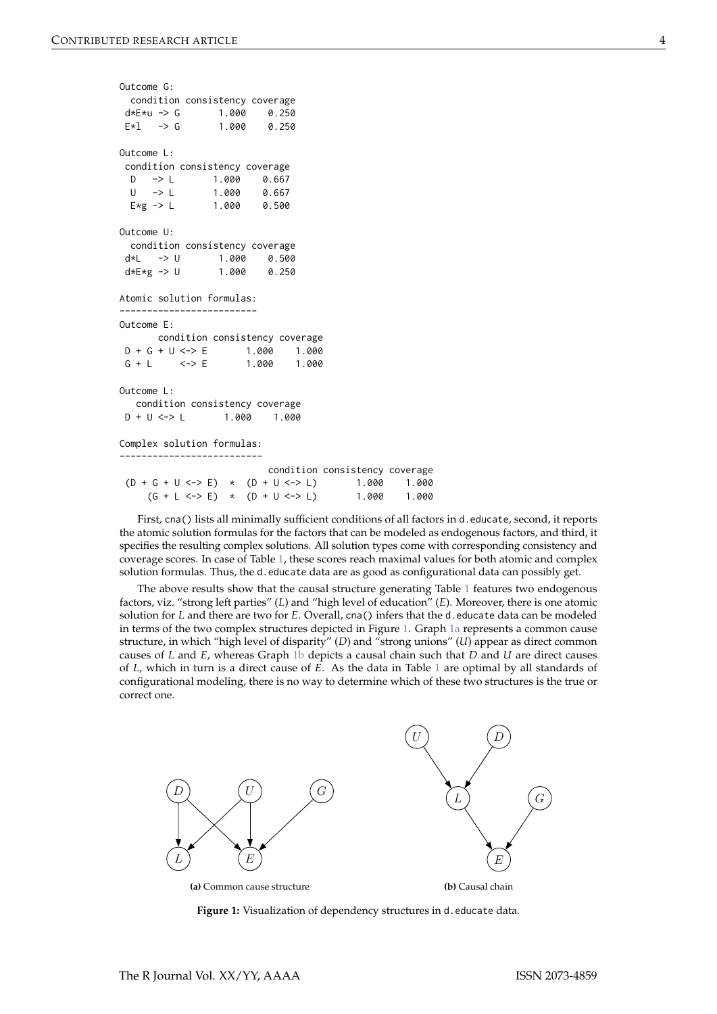```
Outcome G:
 condition consistency coverage
d*E*u \rightarrow G 1.000 0.250
E*1 -> G 1.000 0.250
Outcome L:
condition consistency coverage
 D -> L 1.000 0.667
 U \rightarrow L 1.000 0.667
 E \star g -> L 1.000 0.500
Outcome U:
 condition consistency coverage
d * L \rightarrow U 1.000 0.500<br>d * E * g \rightarrow U 1.000 0.250
d*E*g \rightarrow U 1.000 0.250
Atomic solution formulas:
-------------------------
Outcome E:
      condition consistency coverage
D + G + U \le  > E 1.000 1.000
G + I \leq -2 F 1.000 1.000
Outcome L:
  condition consistency coverage
D + U \le - 1.000 1.000
Complex solution formulas:
--------------------------
                          condition consistency coverage
 (D + G + U \le -> E) \times (D + U \le -> L) 1.000 1.000
     (G + L \leq S) * (D + U \leq S) 1.000 1.000
```
First, cna() lists all minimally sufficient conditions of all factors in d.educate, second, it reports the atomic solution formulas for the factors that can be modeled as endogenous factors, and third, it specifies the resulting complex solutions. All solution types come with corresponding consistency and coverage scores. In case of Table [1,](#page-2-0) these scores reach maximal values for both atomic and complex solution formulas. Thus, the d.educate data are as good as configurational data can possibly get.

The above results show that the causal structure generating Table [1](#page-2-0) features two endogenous factors, viz. "strong left parties" (*L*) and "high level of education" (*E*). Moreover, there is one atomic solution for *L* and there are two for *E*. Overall, cna() infers that the d.educate data can be modeled in terms of the two complex structures depicted in Figure [1.](#page-3-0) Graph [1a](#page-3-1) represents a common cause structure, in which "high level of disparity" (*D*) and "strong unions" (*U*) appear as direct common causes of *L* and *E*, whereas Graph [1b](#page-3-2) depicts a causal chain such that *D* and *U* are direct causes of *L*, which in turn is a direct cause of *E*. As the data in Table [1](#page-2-0) are optimal by all standards of configurational modeling, there is no way to determine which of these two structures is the true or correct one.

<span id="page-3-1"></span><span id="page-3-0"></span>

<span id="page-3-2"></span>**Figure 1:** Visualization of dependency structures in d.educate data.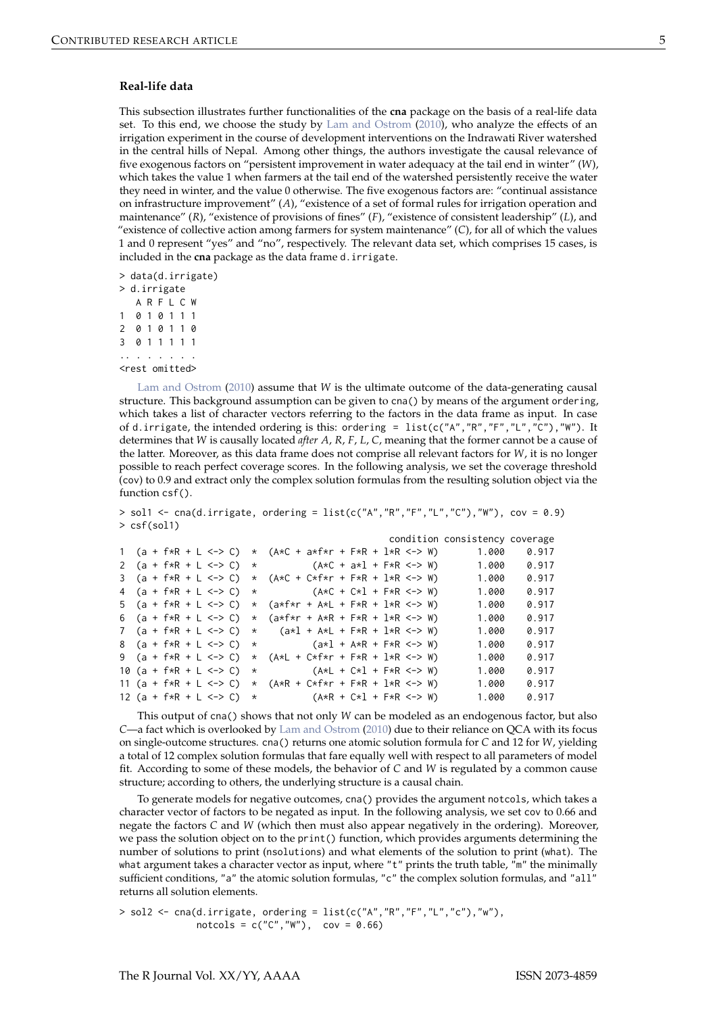#### <span id="page-4-0"></span>**Real-life data**

This subsection illustrates further functionalities of the **cna** package on the basis of a real-life data set. To this end, we choose the study by [Lam and Ostrom](#page-7-19) [\(2010\)](#page-7-19), who analyze the effects of an irrigation experiment in the course of development interventions on the Indrawati River watershed in the central hills of Nepal. Among other things, the authors investigate the causal relevance of five exogenous factors on "persistent improvement in water adequacy at the tail end in winter" (*W*), which takes the value 1 when farmers at the tail end of the watershed persistently receive the water they need in winter, and the value 0 otherwise. The five exogenous factors are: "continual assistance on infrastructure improvement" (*A*), "existence of a set of formal rules for irrigation operation and maintenance" (*R*), "existence of provisions of fines" (*F*), "existence of consistent leadership" (*L*), and "existence of collective action among farmers for system maintenance" (*C*), for all of which the values 1 and 0 represent "yes" and "no", respectively. The relevant data set, which comprises 15 cases, is included in the **cna** package as the data frame d.irrigate.

> data(d.irrigate) > d.irrigate A R F L C W 1 0 1 0 1 1 1 2 0 1 0 1 1 0 3 0 1 1 1 1 1 .. . . . . . . <rest omitted>

[Lam and Ostrom](#page-7-19) [\(2010\)](#page-7-19) assume that *W* is the ultimate outcome of the data-generating causal structure. This background assumption can be given to cna() by means of the argument ordering, which takes a list of character vectors referring to the factors in the data frame as input. In case of d.irrigate, the intended ordering is this: ordering =  $list(c("A", "R", "F", "L", "C"), "W").$  It determines that *W* is causally located *after A*, *R*, *F*, *L*, *C*, meaning that the former cannot be a cause of the latter. Moreover, as this data frame does not comprise all relevant factors for *W*, it is no longer possible to reach perfect coverage scores. In the following analysis, we set the coverage threshold (cov) to 0.9 and extract only the complex solution formulas from the resulting solution object via the function csf().

> sol1 <- cna(d.irrigate, ordering = list(c("A","R","F","L","C"),"W"), cov = 0.9) > csf(sol1)

|  |  |  |  |                                                                                             |  |  |  | condition consistency coverage |       |
|--|--|--|--|---------------------------------------------------------------------------------------------|--|--|--|--------------------------------|-------|
|  |  |  |  | 1 (a + f*R + L <-> C) * (A*C + a*f*r + F*R + 1*R <-> W)                                     |  |  |  | 1.000                          | 0.917 |
|  |  |  |  | 2 $(a + f * R + L < - > C) *$ $(A * C + a * 1 + F * R < - > W)$                             |  |  |  | 1.000                          | 0.917 |
|  |  |  |  | 3 $(a + f * R + L < \rightarrow C)$ * $(A * C + C * f * r + F * R + L * R < \rightarrow W)$ |  |  |  | 1.000                          | 0.917 |
|  |  |  |  | 4 $(a + f * R + L \le -)$ (A*C + C*l + F*R <-> W)                                           |  |  |  | 1.000                          | 0.917 |
|  |  |  |  | 5 $(a + f * R + L < \rightarrow C)$ * $(a * f * r + A * L + F * R + l * R < \rightarrow W)$ |  |  |  | 1.000                          | 0.917 |
|  |  |  |  | 6 $(a + f * R + L < \rightarrow C)$ * $(a * f * r + A * R + F * R + L * R < \rightarrow W)$ |  |  |  | 1.000                          | 0.917 |
|  |  |  |  | 7 $(a + f * R + L < \rightarrow C) *$ $(a * 1 + A * L + F * R + 1 * R < \rightarrow W)$     |  |  |  | 1.000                          | 0.917 |
|  |  |  |  | 8 $(a + f * R + L < \rightarrow C) *$ $(a * 1 + A * R + F * R < \rightarrow W)$             |  |  |  | 1.000                          | 0.917 |
|  |  |  |  | 9 (a + f*R + L <-> C) * (A*L + C*f*r + F*R + 1*R <-> W)                                     |  |  |  | 1.000                          | 0.917 |
|  |  |  |  | 10 (a + f $*R$ + L <-> C) * (A $*L$ + C $*L$ + F $*R$ <-> W)                                |  |  |  | 1.000                          | 0.917 |
|  |  |  |  | 11 $(a + f * R + L < - > C) * (A * R + C * f * r + F * R + l * R < - > W)$                  |  |  |  | 1.000                          | 0.917 |
|  |  |  |  | 12 (a + f*R + L <-> C) * (A*R + C*1 + F*R <-> W)                                            |  |  |  | 1.000                          | 0.917 |

This output of cna() shows that not only *W* can be modeled as an endogenous factor, but also *C*—a fact which is overlooked by [Lam and Ostrom](#page-7-19) [\(2010\)](#page-7-19) due to their reliance on QCA with its focus on single-outcome structures. cna() returns one atomic solution formula for *C* and 12 for *W*, yielding a total of 12 complex solution formulas that fare equally well with respect to all parameters of model fit. According to some of these models, the behavior of *C* and *W* is regulated by a common cause structure; according to others, the underlying structure is a causal chain.

To generate models for negative outcomes, cna() provides the argument notcols, which takes a character vector of factors to be negated as input. In the following analysis, we set cov to 0.66 and negate the factors *C* and *W* (which then must also appear negatively in the ordering). Moreover, we pass the solution object on to the print() function, which provides arguments determining the number of solutions to print (nsolutions) and what elements of the solution to print (what). The what argument takes a character vector as input, where "t" prints the truth table, "m" the minimally sufficient conditions, "a" the atomic solution formulas, "c" the complex solution formulas, and "all" returns all solution elements.

 $>$  sol2 <- cna(d.irrigate, ordering = list(c("A","R","F","L","c"),"w"),  $notcols = c("C", "W")$ ,  $cov = 0.66$ )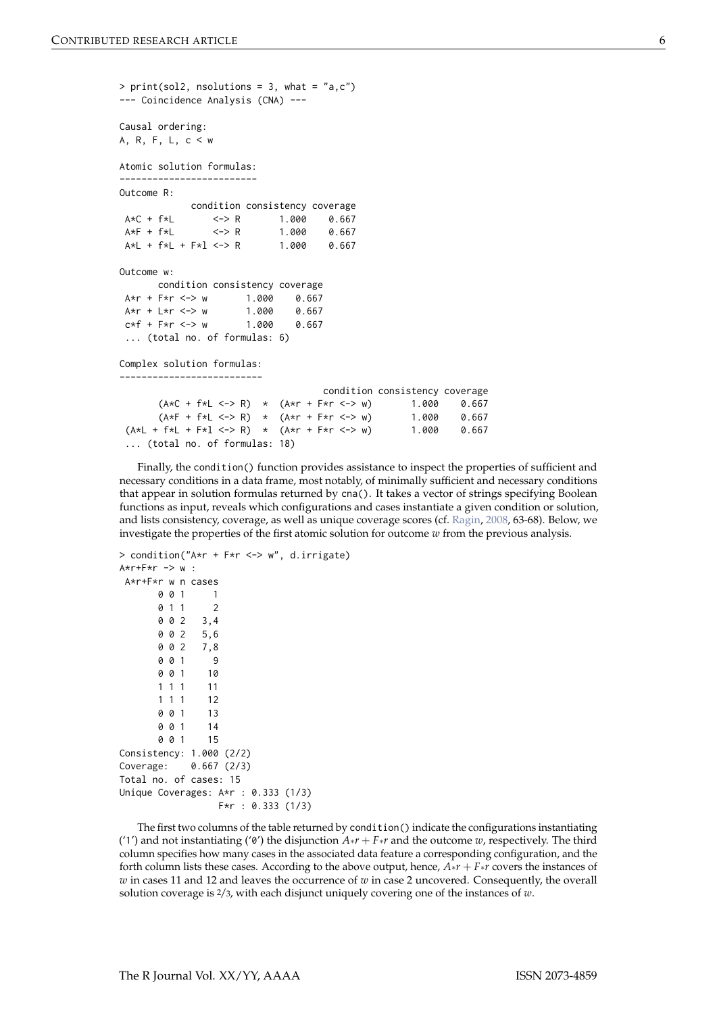```
> print(sol2, no solutions = 3, what = "a,c")--- Coincidence Analysis (CNA) ---
Causal ordering:
A, R, F, L, c < w
Atomic solution formulas:
-------------------------
Outcome R:
          condition consistency coverage
A*C + f*L <-> R 1.000 0.667
A*F + f*L <-> R
A*L + f*L + F*l <-> R 1.000 0.667
Outcome w:
     condition consistency coverage
A*r + F*r <-> w 1.000 0.667
A*r + L*r <-> w 1.000 0.667
c*f + F*r \leq > w 1.000 0.667
... (total no. of formulas: 6)
Complex solution formulas:
--------------------------
                                 condition consistency coverage
      (A*C + f*L <-> R) * (A*r + F*r <-> w) 1.000 0.667
      (A*F + f*L \leq S) * (A*r + F*r \leq S w) 1.000 0.667
 (A *L + f *L + F *l <-> R) * (A *r + F *r <-> w) 1.000 0.667
... (total no. of formulas: 18)
```

```
Finally, the condition() function provides assistance to inspect the properties of sufficient and
necessary conditions in a data frame, most notably, of minimally sufficient and necessary conditions
that appear in solution formulas returned by cna(). It takes a vector of strings specifying Boolean
functions as input, reveals which configurations and cases instantiate a given condition or solution,
and lists consistency, coverage, as well as unique coverage scores (cf. Ragin, 2008, 63-68). Below, we
investigate the properties of the first atomic solution for outcome w from the previous analysis.
```

```
> condition("A*r + F*r <-> w", d.irrigate)
A*r+F*r -> w :
A*r+F*r w n cases
      0 0 1 1
      0 1 1 2
      0 0 2 3,4
      0 0 2 5,6
      0 0 2 7,8
      0 0 1 9
      0 0 1 10
      1 1 1 11
      1 1 1 12
      0 0 1 13
      0 0 1 14
      0 0 1 15
Consistency: 1.000 (2/2)
Coverage: 0.667 (2/3)
Total no. of cases: 15
Unique Coverages: A*r : 0.333 (1/3)
                F*r : 0.333 (1/3)
```
The first two columns of the table returned by condition() indicate the configurations instantiating ('1') and not instantiating ('0') the disjunction  $A * r + F * r$  and the outcome  $w$ , respectively. The third column specifies how many cases in the associated data feature a corresponding configuration, and the forth column lists these cases. According to the above output, hence, *A*∗*r* + *F*∗*r* covers the instances of *w* in cases 11 and 12 and leaves the occurrence of *w* in case 2 uncovered. Consequently, the overall solution coverage is 2/3, with each disjunct uniquely covering one of the instances of *w*.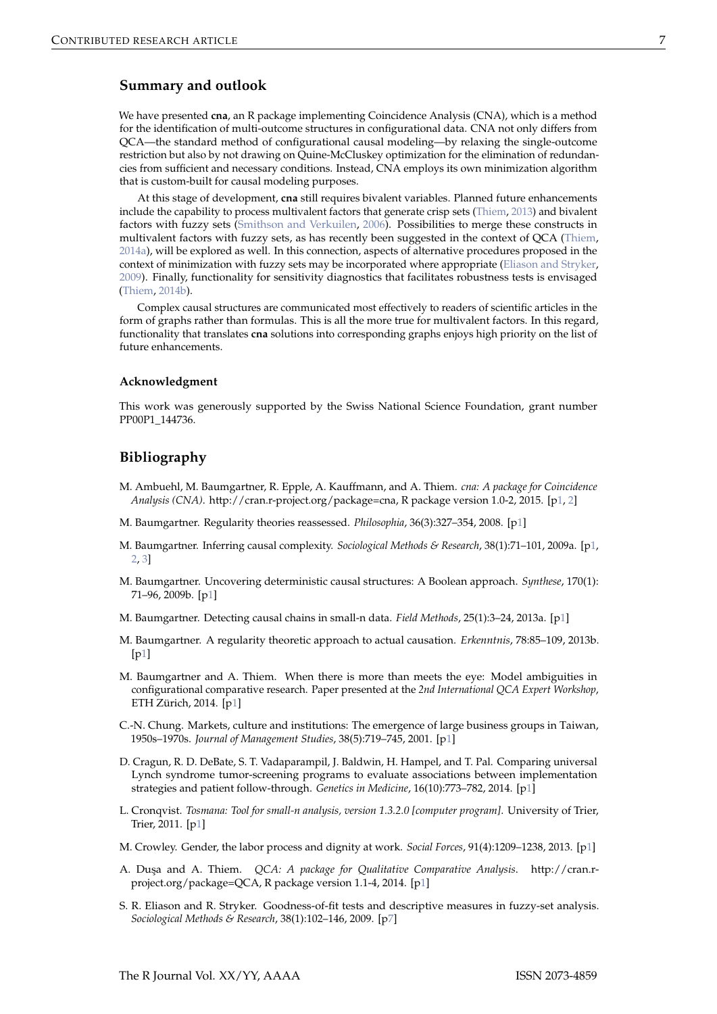## <span id="page-6-13"></span>**Summary and outlook**

We have presented **cna**, an R package implementing Coincidence Analysis (CNA), which is a method for the identification of multi-outcome structures in configurational data. CNA not only differs from QCA—the standard method of configurational causal modeling—by relaxing the single-outcome restriction but also by not drawing on Quine-McCluskey optimization for the elimination of redundancies from sufficient and necessary conditions. Instead, CNA employs its own minimization algorithm that is custom-built for causal modeling purposes.

At this stage of development, **cna** still requires bivalent variables. Planned future enhancements include the capability to process multivalent factors that generate crisp sets [\(Thiem,](#page-7-20) [2013\)](#page-7-20) and bivalent factors with fuzzy sets [\(Smithson and Verkuilen,](#page-7-21) [2006\)](#page-7-21). Possibilities to merge these constructs in multivalent factors with fuzzy sets, as has recently been suggested in the context of QCA [\(Thiem,](#page-7-22) [2014a\)](#page-7-22), will be explored as well. In this connection, aspects of alternative procedures proposed in the context of minimization with fuzzy sets may be incorporated where appropriate [\(Eliason and Stryker,](#page-6-12) [2009\)](#page-6-12). Finally, functionality for sensitivity diagnostics that facilitates robustness tests is envisaged [\(Thiem,](#page-7-23) [2014b\)](#page-7-23).

Complex causal structures are communicated most effectively to readers of scientific articles in the form of graphs rather than formulas. This is all the more true for multivalent factors. In this regard, functionality that translates **cna** solutions into corresponding graphs enjoys high priority on the list of future enhancements.

#### **Acknowledgment**

This work was generously supported by the Swiss National Science Foundation, grant number PP00P1\_144736.

## **Bibliography**

- <span id="page-6-9"></span>M. Ambuehl, M. Baumgartner, R. Epple, A. Kauffmann, and A. Thiem. *cna: A package for Coincidence Analysis (CNA)*. http://cran.r-project.org/package=cna, R package version 1.0-2, 2015. [[p1,](#page-0-0) [2\]](#page-1-0)
- <span id="page-6-10"></span>M. Baumgartner. Regularity theories reassessed. *Philosophia*, 36(3):327–354, 2008. [[p1\]](#page-0-0)
- <span id="page-6-4"></span>M. Baumgartner. Inferring causal complexity. *Sociological Methods & Research*, 38(1):71–101, 2009a. [[p1,](#page-0-0) [2,](#page-1-0) [3\]](#page-2-1)
- <span id="page-6-5"></span>M. Baumgartner. Uncovering deterministic causal structures: A Boolean approach. *Synthese*, 170(1): 71–96, 2009b. [[p1\]](#page-0-0)
- <span id="page-6-6"></span>M. Baumgartner. Detecting causal chains in small-n data. *Field Methods*, 25(1):3–24, 2013a. [[p1\]](#page-0-0)
- <span id="page-6-11"></span>M. Baumgartner. A regularity theoretic approach to actual causation. *Erkenntnis*, 78:85–109, 2013b. [[p1\]](#page-0-0)
- <span id="page-6-8"></span>M. Baumgartner and A. Thiem. When there is more than meets the eye: Model ambiguities in configurational comparative research. Paper presented at the *2nd International QCA Expert Workshop*, ETH Zürich, 2014. [[p1\]](#page-0-0)
- <span id="page-6-0"></span>C.-N. Chung. Markets, culture and institutions: The emergence of large business groups in Taiwan, 1950s–1970s. *Journal of Management Studies*, 38(5):719–745, 2001. [[p1\]](#page-0-0)
- <span id="page-6-1"></span>D. Cragun, R. D. DeBate, S. T. Vadaparampil, J. Baldwin, H. Hampel, and T. Pal. Comparing universal Lynch syndrome tumor-screening programs to evaluate associations between implementation strategies and patient follow-through. *Genetics in Medicine*, 16(10):773–782, 2014. [[p1\]](#page-0-0)
- <span id="page-6-7"></span>L. Cronqvist. *Tosmana: Tool for small-n analysis, version 1.3.2.0 [computer program]*. University of Trier, Trier, 2011. [[p1\]](#page-0-0)
- <span id="page-6-2"></span>M. Crowley. Gender, the labor process and dignity at work. *Social Forces*, 91(4):1209–1238, 2013. [[p1\]](#page-0-0)
- <span id="page-6-3"></span>A. Du¸sa and A. Thiem. *QCA: A package for Qualitative Comparative Analysis*. http://cran.rproject.org/package=QCA, R package version 1.1-4, 2014. [[p1\]](#page-0-0)
- <span id="page-6-12"></span>S. R. Eliason and R. Stryker. Goodness-of-fit tests and descriptive measures in fuzzy-set analysis. *Sociological Methods & Research*, 38(1):102–146, 2009. [[p7\]](#page-6-13)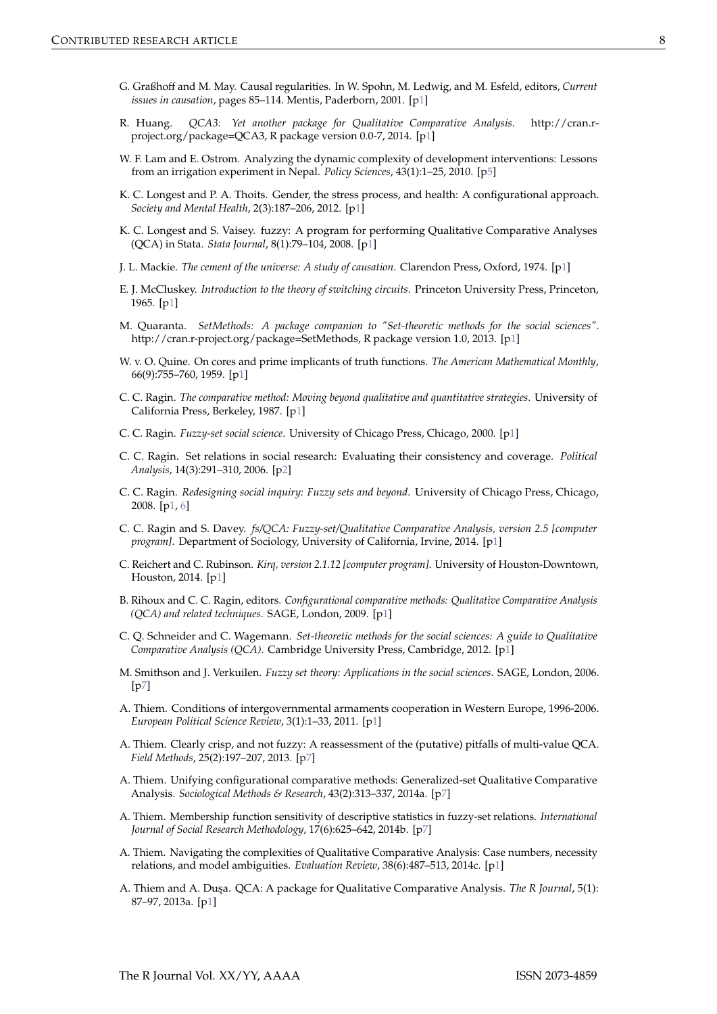- <span id="page-7-17"></span>G. Graßhoff and M. May. Causal regularities. In W. Spohn, M. Ledwig, and M. Esfeld, editors, *Current issues in causation*, pages 85–114. Mentis, Paderborn, 2001. [[p1\]](#page-0-0)
- <span id="page-7-7"></span>R. Huang. *QCA3: Yet another package for Qualitative Comparative Analysis*. http://cran.rproject.org/package=QCA3, R package version 0.0-7, 2014. [[p1\]](#page-0-0)
- <span id="page-7-19"></span>W. F. Lam and E. Ostrom. Analyzing the dynamic complexity of development interventions: Lessons from an irrigation experiment in Nepal. *Policy Sciences*, 43(1):1–25, 2010. [[p5\]](#page-4-0)
- <span id="page-7-5"></span>K. C. Longest and P. A. Thoits. Gender, the stress process, and health: A configurational approach. *Society and Mental Health*, 2(3):187–206, 2012. [[p1\]](#page-0-0)
- <span id="page-7-14"></span>K. C. Longest and S. Vaisey. fuzzy: A program for performing Qualitative Comparative Analyses (QCA) in Stata. *Stata Journal*, 8(1):79–104, 2008. [[p1\]](#page-0-0)
- <span id="page-7-10"></span>J. L. Mackie. *The cement of the universe: A study of causation*. Clarendon Press, Oxford, 1974. [[p1\]](#page-0-0)
- <span id="page-7-12"></span>E. J. McCluskey. *Introduction to the theory of switching circuits*. Princeton University Press, Princeton, 1965. [[p1\]](#page-0-0)
- <span id="page-7-8"></span>M. Quaranta. *SetMethods: A package companion to "Set-theoretic methods for the social sciences"*. http://cran.r-project.org/package=SetMethods, R package version 1.0, 2013. [[p1\]](#page-0-0)
- <span id="page-7-11"></span>W. v. O. Quine. On cores and prime implicants of truth functions. *The American Mathematical Monthly*, 66(9):755–760, 1959. [[p1\]](#page-0-0)
- <span id="page-7-1"></span>C. C. Ragin. *The comparative method: Moving beyond qualitative and quantitative strategies*. University of California Press, Berkeley, 1987. [[p1\]](#page-0-0)
- <span id="page-7-2"></span>C. C. Ragin. *Fuzzy-set social science*. University of Chicago Press, Chicago, 2000. [[p1\]](#page-0-0)
- <span id="page-7-18"></span>C. C. Ragin. Set relations in social research: Evaluating their consistency and coverage. *Political Analysis*, 14(3):291–310, 2006. [[p2\]](#page-1-0)
- <span id="page-7-3"></span>C. C. Ragin. *Redesigning social inquiry: Fuzzy sets and beyond*. University of Chicago Press, Chicago, 2008. [[p1,](#page-0-0) [6\]](#page-5-0)
- <span id="page-7-13"></span>C. C. Ragin and S. Davey. *fs/QCA: Fuzzy-set/Qualitative Comparative Analysis, version 2.5 [computer program*]. Department of Sociology, University of California, Irvine, 2014. [[p1\]](#page-0-0)
- <span id="page-7-15"></span>C. Reichert and C. Rubinson. *Kirq, version 2.1.12 [computer program]*. University of Houston-Downtown, Houston, 2014. [[p1\]](#page-0-0)
- <span id="page-7-0"></span>B. Rihoux and C. C. Ragin, editors. *Configurational comparative methods: Qualitative Comparative Analysis (QCA) and related techniques*. SAGE, London, 2009. [[p1\]](#page-0-0)
- <span id="page-7-9"></span>C. Q. Schneider and C. Wagemann. *Set-theoretic methods for the social sciences: A guide to Qualitative Comparative Analysis (QCA)*. Cambridge University Press, Cambridge, 2012. [[p1\]](#page-0-0)
- <span id="page-7-21"></span>M. Smithson and J. Verkuilen. *Fuzzy set theory: Applications in the social sciences*. SAGE, London, 2006.  $[p7]$  $[p7]$
- <span id="page-7-4"></span>A. Thiem. Conditions of intergovernmental armaments cooperation in Western Europe, 1996-2006. *European Political Science Review*, 3(1):1–33, 2011. [[p1\]](#page-0-0)
- <span id="page-7-20"></span>A. Thiem. Clearly crisp, and not fuzzy: A reassessment of the (putative) pitfalls of multi-value QCA. *Field Methods*, 25(2):197–207, 2013. [[p7\]](#page-6-13)
- <span id="page-7-22"></span>A. Thiem. Unifying configurational comparative methods: Generalized-set Qualitative Comparative Analysis. *Sociological Methods & Research*, 43(2):313–337, 2014a. [[p7\]](#page-6-13)
- <span id="page-7-23"></span>A. Thiem. Membership function sensitivity of descriptive statistics in fuzzy-set relations. *International Journal of Social Research Methodology*, 17(6):625–642, 2014b. [[p7\]](#page-6-13)
- <span id="page-7-16"></span>A. Thiem. Navigating the complexities of Qualitative Comparative Analysis: Case numbers, necessity relations, and model ambiguities. *Evaluation Review*, 38(6):487–513, 2014c. [[p1\]](#page-0-0)
- <span id="page-7-6"></span>A. Thiem and A. Duşa. QCA: A package for Qualitative Comparative Analysis. *The R Journal*, 5(1): 87–97, 2013a. [[p1\]](#page-0-0)